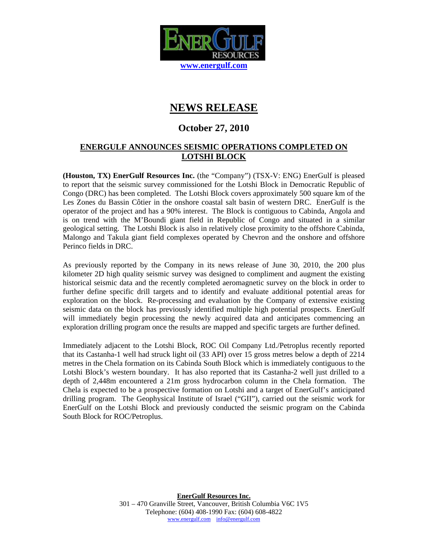

## **NEWS RELEASE**

## **October 27, 2010**

## **ENERGULF ANNOUNCES SEISMIC OPERATIONS COMPLETED ON LOTSHI BLOCK**

**(Houston, TX) EnerGulf Resources Inc.** (the "Company") (TSX-V: ENG) EnerGulf is pleased to report that the seismic survey commissioned for the Lotshi Block in Democratic Republic of Congo (DRC) has been completed. The Lotshi Block covers approximately 500 square km of the Les Zones du Bassin Côtier in the onshore coastal salt basin of western DRC. EnerGulf is the operator of the project and has a 90% interest. The Block is contiguous to Cabinda, Angola and is on trend with the M'Boundi giant field in Republic of Congo and situated in a similar geological setting. The Lotshi Block is also in relatively close proximity to the offshore Cabinda, Malongo and Takula giant field complexes operated by Chevron and the onshore and offshore Perinco fields in DRC.

As previously reported by the Company in its news release of June 30, 2010, the 200 plus kilometer 2D high quality seismic survey was designed to compliment and augment the existing historical seismic data and the recently completed aeromagnetic survey on the block in order to further define specific drill targets and to identify and evaluate additional potential areas for exploration on the block. Re-processing and evaluation by the Company of extensive existing seismic data on the block has previously identified multiple high potential prospects. EnerGulf will immediately begin processing the newly acquired data and anticipates commencing an exploration drilling program once the results are mapped and specific targets are further defined.

Immediately adjacent to the Lotshi Block, ROC Oil Company Ltd./Petroplus recently reported that its Castanha-1 well had struck light oil (33 API) over 15 gross metres below a depth of 2214 metres in the Chela formation on its Cabinda South Block which is immediately contiguous to the Lotshi Block's western boundary. It has also reported that its Castanha-2 well just drilled to a depth of 2,448m encountered a 21m gross hydrocarbon column in the Chela formation. The Chela is expected to be a prospective formation on Lotshi and a target of EnerGulf's anticipated drilling program. The Geophysical Institute of Israel ("GII"), carried out the seismic work for EnerGulf on the Lotshi Block and previously conducted the seismic program on the Cabinda South Block for ROC/Petroplus.